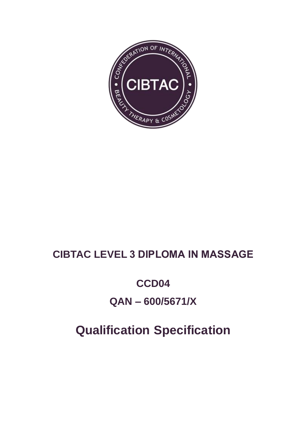

# **CIBTAC LEVEL 3 DIPLOMA IN MASSAGE**

# CCD04

# $QAN - 600/5671/X$

# **Qualification Specification**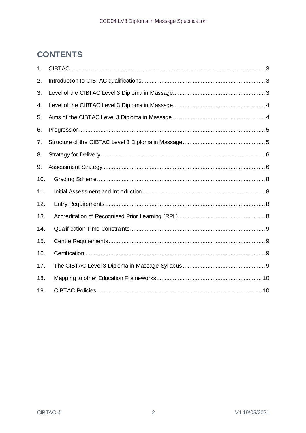# **CONTENTS**

| 1.  |  |
|-----|--|
| 2.  |  |
| 3.  |  |
| 4.  |  |
| 5.  |  |
| 6.  |  |
| 7.  |  |
| 8.  |  |
| 9.  |  |
| 10. |  |
| 11. |  |
| 12. |  |
| 13. |  |
| 14. |  |
| 15. |  |
| 16. |  |
| 17. |  |
| 18. |  |
| 19. |  |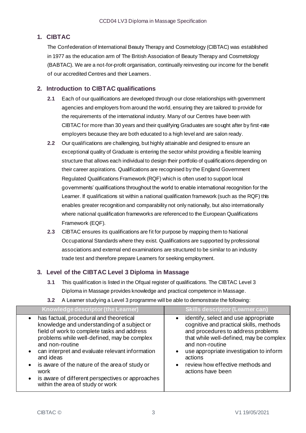# <span id="page-2-0"></span>**1. CIBTAC**

The Confederation of International Beauty Therapy and Cosmetology (CIBTAC) was established in 1977 as the education arm of The British Association of Beauty Therapy and Cosmetology (BABTAC). We are a not-for-profit organisation, continually reinvesting our income for the benefit of our accredited Centres and their Learners.

# <span id="page-2-1"></span>**2. Introduction to CIBTAC qualifications**

- **2.1** Each of our qualifications are developed through our close relationships with government agencies and employers from around the world, ensuring they are tailored to provide for the requirements of the international industry. Many of our Centres have been with CIBTAC for more than 30 years and their qualifying Graduates are sought after by first-rate employers because they are both educated to a high level and are salon ready.
- **2.2** Our qualifications are challenging, but highly attainable and designed to ensure an exceptional quality of Graduate is entering the sector whilst providing a flexible learning structure that allows each individual to design their portfolio of qualifications depending on their career aspirations. Qualifications are recognised by the England Government Regulated Qualifications Framework (RQF) which is often used to support local governments' qualifications throughout the world to enable international recognition for the Learner. If qualifications sit within a national qualification framework (such as the RQF) this enables greater recognition and comparability not only nationally, but also internationally where national qualification frameworks are referenced to the European Qualifications Framework (EQF).
- **2.3** CIBTAC ensures its qualifications are fit for purpose by mapping them to National Occupational Standards where they exist. Qualifications are supported by professional associations and external end examinations are structured to be similar to an industry trade test and therefore prepare Learners for seeking employment.

# <span id="page-2-2"></span>**3. Level of the CIBTAC Level 3 Diploma in Massage**

- **3.1** This qualification is listed in the Ofqual register of qualifications. The CIBTAC Level 3 Diploma in Massage provides knowledge and practical competence in Massage.
- **Knowledge descriptor (the Learner) Skills descriptor (Learner can)** • has factual, procedural and theoretical knowledge and understanding of a subject or field of work to complete tasks and address problems while well-defined, may be complex and non-routine • can interpret and evaluate relevant information and ideas is aware of the nature of the area of study or work is aware of different perspectives or approaches within the area of study or work identify, select and use appropriate cognitive and practical skills, methods and procedures to address problems that while well-defined, may be complex and non-routine use appropriate investigation to inform actions review how effective methods and actions have been
- **3.2** A Learner studying a Level 3 programme will be able to demonstrate the following: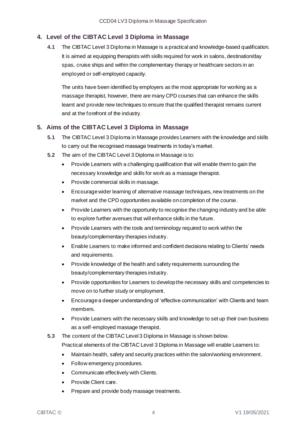# <span id="page-3-0"></span>**4. Level of the CIBTAC Level 3 Diploma in Massage**

**4.1** The CIBTAC Level 3 Diploma in Massage is a practical and knowledge-based qualification. It is aimed at equipping therapists with skills required for work in salons, destination/day spas, cruise ships and within the complementary therapy or healthcare sectors in an employed or self-employed capacity.

The units have been identified by employers as the most appropriate for working as a massage therapist, however, there are many CPD courses that can enhance the skills learnt and provide new techniques to ensure that the qualified therapist remains current and at the forefront of the industry.

# <span id="page-3-1"></span>**5. Aims of the CIBTAC Level 3 Diploma in Massage**

- **5.1** The CIBTAC Level 3 Diploma in Massage provides Learners with the knowledge and skills to carry out the recognised massage treatments in today's market.
- **5.2** The aim of the CIBTAC Level 3 Diploma in Massage is to:
	- Provide Learners with a challenging qualification that will enable them to gain the necessary knowledge and skills for work as a massage therapist.
	- Provide commercial skills in massage.
	- Encourage wider learning of alternative massage techniques, new treatments on the market and the CPD opportunities available on completion of the course.
	- Provide Learners with the opportunity to recognise the changing industry and be able to explore further avenues that will enhance skills in the future.
	- Provide Learners with the tools and terminology required to work within the beauty/complementary therapies industry.
	- Enable Learners to make informed and confident decisions relating to Clients' needs and requirements.
	- Provide knowledge of the health and safety requirements surrounding the beauty/complementary therapies industry.
	- Provide opportunities for Learners to develop the necessary skills and competencies to move on to further study or employment.
	- Encourage a deeper understanding of 'effective communication' with Clients and team members.
	- Provide Learners with the necessary skills and knowledge to set up their own business as a self-employed massage therapist.
- **5.3** The content of the CIBTAC Level 3 Diploma in Massage is shown below.

Practical elements of the CIBTAC Level 3 Diploma in Massage will enable Learners to:

- Maintain health, safety and security practices within the salon/working environment.
- Follow emergency procedures.
- Communicate effectively with Clients.
- Provide Client care.
- Prepare and provide body massage treatments.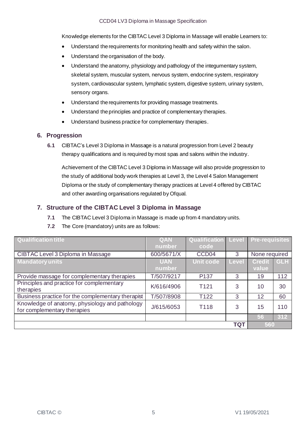Knowledge elements for the CIBTAC Level 3 Diploma in Massage will enable Learners to:

- Understand the requirements for monitoring health and safety within the salon.
- Understand the organisation of the body.
- Understand the anatomy, physiology and pathology of the integumentary system, skeletal system, muscular system, nervous system, endocrine system, respiratory system, cardiovascular system, lymphatic system, digestive system, urinary system, sensory organs.
- Understand the requirements for providing massage treatments.
- Understand the principles and practice of complementary therapies.
- Understand business practice for complementary therapies.

#### <span id="page-4-0"></span>**6. Progression**

**6.1** CIBTAC's Level 3 Diploma in Massage is a natural progression from Level 2 beauty therapy qualifications and is required by most spas and salons within the industry.

Achievement of the CIBTAC Level 3 Diploma in Massage will also provide progression to the study of additional body work therapies at Level 3, the Level 4 Salon Management Diploma or the study of complementary therapy practices at Level 4 offered by CIBTAC and other awarding organisations regulated by Ofqual.

#### <span id="page-4-1"></span>**7. Structure of the CIBTAC Level 3 Diploma in Massage**

- **7.1** The CIBTAC Level 3 Diploma in Massage is made up from 4 mandatory units.
- **7.2** The Core (mandatory) units are as follows:

| <b>Qualification title</b>                        | <b>QAN</b> | Qualification     | <b>Level</b> | <b>Pre-requisites</b> |            |
|---------------------------------------------------|------------|-------------------|--------------|-----------------------|------------|
|                                                   | number     | code              |              |                       |            |
| CIBTAC Level 3 Diploma in Massage                 | 600/5671/X | CCD <sub>04</sub> | 3            | None required         |            |
| <b>Mandatory units</b>                            | <b>UAN</b> | <b>Unit code</b>  | Level        | <b>Credit</b>         | <b>GLH</b> |
|                                                   | number     |                   |              | value                 |            |
| Provide massage for complementary therapies       | T/507/9217 | P <sub>137</sub>  | 3            | 19                    | 112        |
| Principles and practice for complementary         | K/616/4906 | T <sub>121</sub>  | 3            | 10                    | 30         |
| therapies                                         |            |                   |              |                       |            |
| Business practice for the complementary therapist | T/507/8908 | T <sub>122</sub>  | 3            | 12                    | 60         |
| Knowledge of anatomy, physiology and pathology    | J/615/6053 | T118              | 3            | 15                    | 110        |
| for complementary therapies                       |            |                   |              |                       |            |
|                                                   |            |                   |              | 56                    | 312        |
|                                                   | 560        |                   |              |                       |            |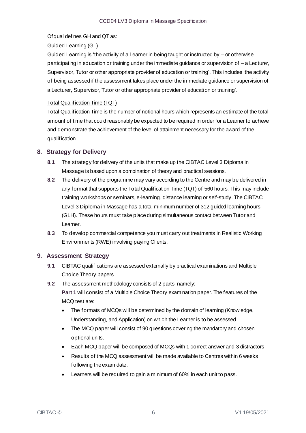#### Ofqual defines GH and QT as:

#### Guided Learning (GL)

Guided Learning is 'the activity of a Learner in being taught or instructed by – or otherwise participating in education or training under the immediate guidance or supervision of – a Lecturer, Supervisor, Tutor or other appropriate provider of education or training'. This includes 'the activity of being assessed if the assessment takes place under the immediate guidance or supervision of a Lecturer, Supervisor, Tutor or other appropriate provider of education or training'.

#### Total Qualification Time (TQT)

Total Qualification Time is the number of notional hours which represents an estimate of the total amount of time that could reasonably be expected to be required in order for a Learner to achieve and demonstrate the achievement of the level of attainment necessary for the award of the qualification.

#### <span id="page-5-0"></span>**8. Strategy for Delivery**

- **8.1** The strategy for delivery of the units that make up the CIBTAC Level 3 Diploma in Massage is based upon a combination of theory and practical sessions.
- **8.2** The delivery of the programme may vary according to the Centre and may be delivered in any format that supports the Total Qualification Time (TQT) of 560 hours. This may include training workshops or seminars, e-learning, distance learning or self-study. The CIBTAC Level 3 Diploma in Massage has a total minimum number of 312 guided learning hours (GLH). These hours must take place during simultaneous contact between Tutor and Learner.
- **8.3** To develop commercial competence you must carry out treatments in Realistic Working Environments (RWE) involving paying Clients.

# <span id="page-5-1"></span>**9. Assessment Strategy**

- **9.1** CIBTAC qualifications are assessed externally by practical examinations and Multiple Choice Theory papers.
- **9.2** The assessment methodology consists of 2 parts, namely:

**Part 1** will consist of a Multiple Choice Theory examination paper. The features of the MCQ test are:

- The formats of MCQs will be determined by the domain of learning (Knowledge, Understanding, and Application) on which the Learner is to be assessed.
- The MCQ paper will consist of 90 questions covering the mandatory and chosen optional units.
- Each MCQ paper will be composed of MCQs with 1 correct answer and 3 distractors.
- Results of the MCQ assessment will be made available to Centres within 6 weeks following the exam date.
- Learners will be required to gain a minimum of 60% in each unit to pass.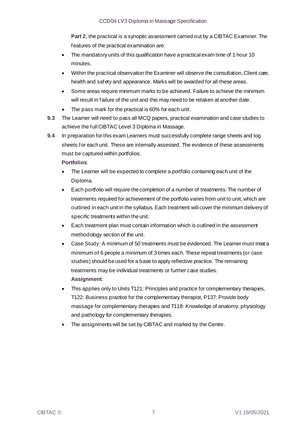**Part 2**, the practical is a synoptic assessment carried out by a CIBTAC Examiner. The features of the practical examination are:

- The mandatory units of this qualification have a practical exam time of 1 hour 10 minutes.
- Within the practical observation the Examiner will observe the consultation, Client care, health and safety and appearance. Marks will be awarded for all these areas.
- Some areas require minimum marks to be achieved. Failure to achieve the minimum will result in failure of the unit and this may need to be retaken at another date.
- The pass mark for the practical is 60% for each unit.
- **9.3** The Learner will need to pass all MCQ papers, practical examination and case studies to achieve the full CIBTAC Level 3 Diploma in Massage.
- **9.4** In preparation for this exam Learners must successfully complete range sheets and log sheets for each unit. These are internally assessed. The evidence of these assessments must be captured within portfolios.

**Portfolios**:

- The Learner will be expected to complete a portfolio containing each unit of the Diploma.
- Each portfolio will require the completion of a number of treatments. The number of treatments required for achievement of the portfolio varies from unit to unit, which are outlined in each unit in the syllabus. Each treatment will cover the minimum delivery of specific treatments within the unit.
- Each treatment plan must contain information which is outlined in the assessment methodology section of the unit.
- Case Study: A minimum of 50 treatments must be evidenced. The Learner must treat a minimum of 6 people a minimum of 3 times each. These repeat treatments (or case studies) should be used for a base to apply reflective practice. The remaining treatments may be individual treatments or further case studies. **Assignment**:
- This applies only to Units T121: Principles and practice for complementary therapies, T122: Business practice for the complementary therapist, P137: Provide body massage for complementary therapies and T118: Knowledge of anatomy, physiology and pathology for complementary therapies.
- The assignments will be set by CIBTAC and marked by the Centre.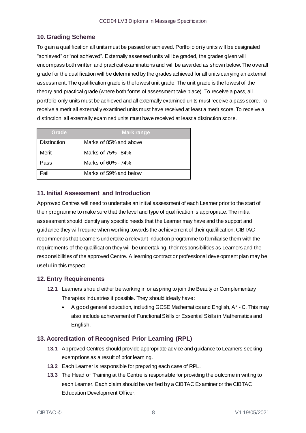# <span id="page-7-0"></span>**10. Grading Scheme**

To gain a qualification all units must be passed or achieved. Portfolio only units will be designated "achieved" or "not achieved". Externally assessed units will be graded, the grades given will encompass both written and practical examinations and will be awarded as shown below. The overall grade for the qualification will be determined by the grades achieved for all units carrying an external assessment. The qualification grade is the lowest unit grade. The unit grade is the lowest of the theory and practical grade (where both forms of assessment take place). To receive a pass, all portfolio-only units must be achieved and all externally examined units must receive a pass score. To receive a merit all externally examined units must have received at least a merit score. To receive a distinction, all externally examined units must have received at least a distinction score.

| Grade              | <b>Mark range</b>      |
|--------------------|------------------------|
| <b>Distinction</b> | Marks of 85% and above |
| Merit              | Marks of 75% - 84%     |
| Pass               | Marks of 60% - 74%     |
| Fail               | Marks of 59% and below |

# <span id="page-7-1"></span>**11. Initial Assessment and Introduction**

Approved Centres will need to undertake an initial assessment of each Learner prior to the start of their programme to make sure that the level and type of qualification is appropriate. The initial assessment should identify any specific needs that the Learner may have and the support and guidance they will require when working towards the achievement of their qualification. CIBTAC recommends that Learners undertake a relevant induction programme to familiarise them with the requirements of the qualification they will be undertaking, their responsibilities as Learners and the responsibilities of the approved Centre. A learning contract or professional development plan may be useful in this respect.

# <span id="page-7-2"></span>**12. Entry Requirements**

- **12.1** Learners should either be working in or aspiring to join the Beauty or Complementary Therapies Industries if possible. They should ideally have:
	- A good general education, including GCSE Mathematics and English, A\* C. This may also include achievement of Functional Skills or Essential Skills in Mathematics and English.

# <span id="page-7-3"></span>**13. Accreditation of Recognised Prior Learning (RPL)**

- **13.1** Approved Centres should provide appropriate advice and guidance to Learners seeking exemptions as a result of prior learning.
- **13.2** Each Learner is responsible for preparing each case of RPL.
- **13.3** The Head of Training at the Centre is responsible for providing the outcome in writing to each Learner. Each claim should be verified by a CIBTAC Examiner or the CIBTAC Education Development Officer.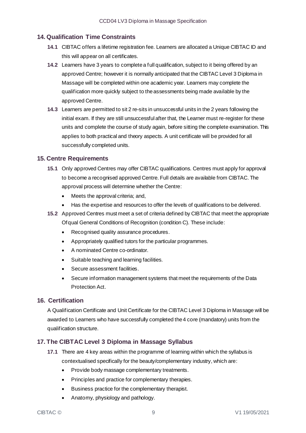# <span id="page-8-0"></span>**14. Qualification Time Constraints**

- **14.1** CIBTAC offers a lifetime registration fee. Learners are allocated a Unique CIBTAC ID and this will appear on all certificates.
- **14.2** Learners have 3 years to complete a full qualification, subject to it being offered by an approved Centre; however it is normally anticipated that the CIBTAC Level 3 Diploma in Massage will be completed within one academic year. Learners may complete the qualification more quickly subject to the assessments being made available by the approved Centre.
- **14.3** Learners are permitted to sit 2 re-sits in unsuccessful units in the 2 years following the initial exam. If they are still unsuccessful after that, the Learner must re-register for these units and complete the course of study again, before sitting the complete examination. This applies to both practical and theory aspects. A unit certificate will be provided for all successfully completed units.

#### <span id="page-8-1"></span>**15. Centre Requirements**

- **15.1** Only approved Centres may offer CIBTAC qualifications. Centres must apply for approval to become a recognised approved Centre. Full details are available from CIBTAC. The approval process will determine whether the Centre:
	- Meets the approval criteria; and,
	- Has the expertise and resources to offer the levels of qualifications to be delivered.
- **15.2** Approved Centres must meet a set of criteria defined by CIBTAC that meet the appropriate Ofqual General Conditions of Recognition (condition C). These include:
	- Recognised quality assurance procedures.
	- Appropriately qualified tutors for the particular programmes.
	- A nominated Centre co-ordinator.
	- Suitable teaching and learning facilities.
	- Secure assessment facilities.
	- Secure information management systems that meet the requirements of the Data Protection Act.

# <span id="page-8-2"></span>**16. Certification**

A Qualification Certificate and Unit Certificate for the CIBTAC Level 3 Diploma in Massage will be awarded to Learners who have successfully completed the 4 core (mandatory) units from the qualification structure.

# <span id="page-8-3"></span>**17. The CIBTAC Level 3 Diploma in Massage Syllabus**

- **17.1** There are 4 key areas within the programme of learning within which the syllabus is contextualised specifically for the beauty/complementary industry, which are:
	- Provide body massage complementary treatments.
	- Principles and practice for complementary therapies.
	- Business practice for the complementary therapist.
	- Anatomy, physiology and pathology.